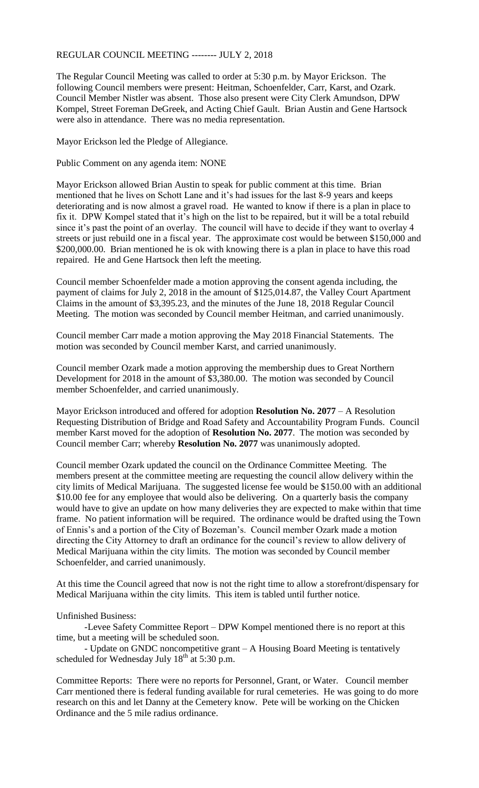## REGULAR COUNCIL MEETING -------- JULY 2, 2018

The Regular Council Meeting was called to order at 5:30 p.m. by Mayor Erickson. The following Council members were present: Heitman, Schoenfelder, Carr, Karst, and Ozark. Council Member Nistler was absent. Those also present were City Clerk Amundson, DPW Kompel, Street Foreman DeGreek, and Acting Chief Gault. Brian Austin and Gene Hartsock were also in attendance. There was no media representation.

Mayor Erickson led the Pledge of Allegiance.

Public Comment on any agenda item: NONE

Mayor Erickson allowed Brian Austin to speak for public comment at this time. Brian mentioned that he lives on Schott Lane and it's had issues for the last 8-9 years and keeps deteriorating and is now almost a gravel road. He wanted to know if there is a plan in place to fix it. DPW Kompel stated that it's high on the list to be repaired, but it will be a total rebuild since it's past the point of an overlay. The council will have to decide if they want to overlay 4 streets or just rebuild one in a fiscal year. The approximate cost would be between \$150,000 and \$200,000.00. Brian mentioned he is ok with knowing there is a plan in place to have this road repaired. He and Gene Hartsock then left the meeting.

Council member Schoenfelder made a motion approving the consent agenda including, the payment of claims for July 2, 2018 in the amount of \$125,014.87, the Valley Court Apartment Claims in the amount of \$3,395.23, and the minutes of the June 18, 2018 Regular Council Meeting. The motion was seconded by Council member Heitman, and carried unanimously.

Council member Carr made a motion approving the May 2018 Financial Statements. The motion was seconded by Council member Karst, and carried unanimously.

Council member Ozark made a motion approving the membership dues to Great Northern Development for 2018 in the amount of \$3,380.00. The motion was seconded by Council member Schoenfelder, and carried unanimously.

Mayor Erickson introduced and offered for adoption **Resolution No. 2077** – A Resolution Requesting Distribution of Bridge and Road Safety and Accountability Program Funds. Council member Karst moved for the adoption of **Resolution No. 2077**. The motion was seconded by Council member Carr; whereby **Resolution No. 2077** was unanimously adopted.

Council member Ozark updated the council on the Ordinance Committee Meeting. The members present at the committee meeting are requesting the council allow delivery within the city limits of Medical Marijuana. The suggested license fee would be \$150.00 with an additional \$10.00 fee for any employee that would also be delivering. On a quarterly basis the company would have to give an update on how many deliveries they are expected to make within that time frame. No patient information will be required. The ordinance would be drafted using the Town of Ennis's and a portion of the City of Bozeman's. Council member Ozark made a motion directing the City Attorney to draft an ordinance for the council's review to allow delivery of Medical Marijuana within the city limits. The motion was seconded by Council member Schoenfelder, and carried unanimously.

At this time the Council agreed that now is not the right time to allow a storefront/dispensary for Medical Marijuana within the city limits. This item is tabled until further notice.

## Unfinished Business:

-Levee Safety Committee Report – DPW Kompel mentioned there is no report at this time, but a meeting will be scheduled soon.

- Update on GNDC noncompetitive grant – A Housing Board Meeting is tentatively scheduled for Wednesday July  $18<sup>th</sup>$  at 5:30 p.m.

Committee Reports: There were no reports for Personnel, Grant, or Water. Council member Carr mentioned there is federal funding available for rural cemeteries. He was going to do more research on this and let Danny at the Cemetery know. Pete will be working on the Chicken Ordinance and the 5 mile radius ordinance.